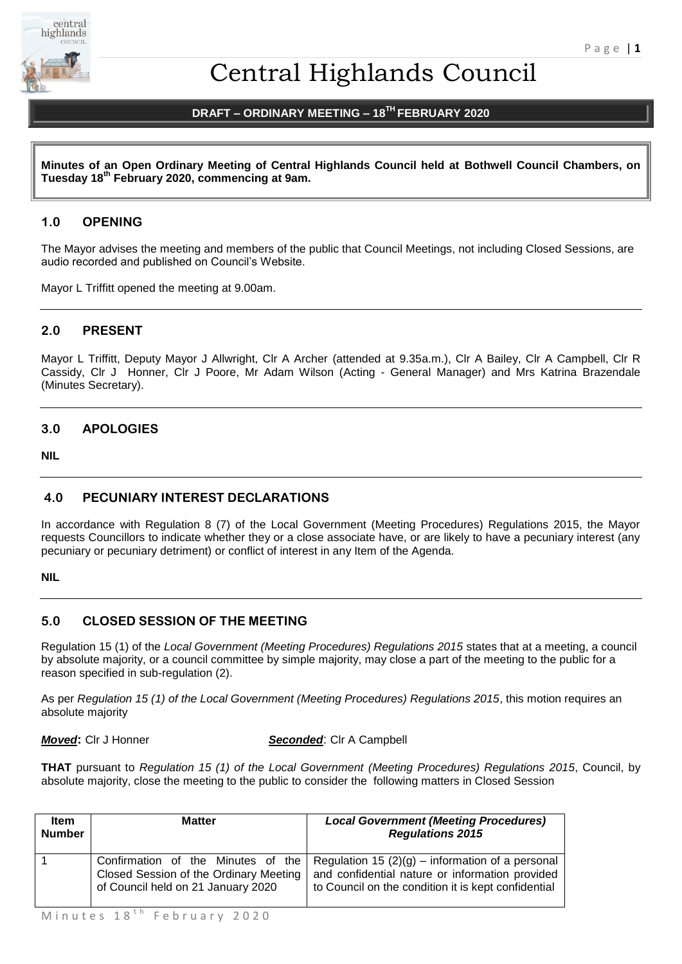

# Central Highlands Council

# **DRAFT – ORDINARY MEETING – 18TH FEBRUARY 2020**

**Minutes of an Open Ordinary Meeting of Central Highlands Council held at Bothwell Council Chambers, on Tuesday 18th February 2020, commencing at 9am.**

# **1.0 OPENING**

The Mayor advises the meeting and members of the public that Council Meetings, not including Closed Sessions, are audio recorded and published on Council's Website.

Mayor L Triffitt opened the meeting at 9.00am.

# **2.0 PRESENT**

Mayor L Triffitt, Deputy Mayor J Allwright, Clr A Archer (attended at 9.35a.m.), Clr A Bailey, Clr A Campbell, Clr R Cassidy, Clr J Honner, Clr J Poore, Mr Adam Wilson (Acting - General Manager) and Mrs Katrina Brazendale (Minutes Secretary).

# **3.0 APOLOGIES**

**NIL** 

# **4.0 PECUNIARY INTEREST DECLARATIONS**

In accordance with Regulation 8 (7) of the Local Government (Meeting Procedures) Regulations 2015, the Mayor requests Councillors to indicate whether they or a close associate have, or are likely to have a pecuniary interest (any pecuniary or pecuniary detriment) or conflict of interest in any Item of the Agenda.

**NIL** 

#### **5.0 CLOSED SESSION OF THE MEETING**

Regulation 15 (1) of the *Local Government (Meeting Procedures) Regulations 2015* states that at a meeting, a council by absolute majority, or a council committee by simple majority, may close a part of the meeting to the public for a reason specified in sub-regulation (2).

As per *Regulation 15 (1) of the Local Government (Meeting Procedures) Regulations 2015*, this motion requires an absolute majority

*Moved***:** Clr J Honner *Seconded*: Clr A Campbell

**THAT** pursuant to *Regulation 15 (1) of the Local Government (Meeting Procedures) Regulations 2015*, Council, by absolute majority, close the meeting to the public to consider the following matters in Closed Session

| ltem<br><b>Number</b> | <b>Matter</b>                                                                | <b>Local Government (Meeting Procedures)</b><br><b>Regulations 2015</b>                                                                                                                         |
|-----------------------|------------------------------------------------------------------------------|-------------------------------------------------------------------------------------------------------------------------------------------------------------------------------------------------|
|                       | Closed Session of the Ordinary Meeting<br>of Council held on 21 January 2020 | Confirmation of the Minutes of the Regulation 15 $(2)(g)$ – information of a personal<br>and confidential nature or information provided<br>to Council on the condition it is kept confidential |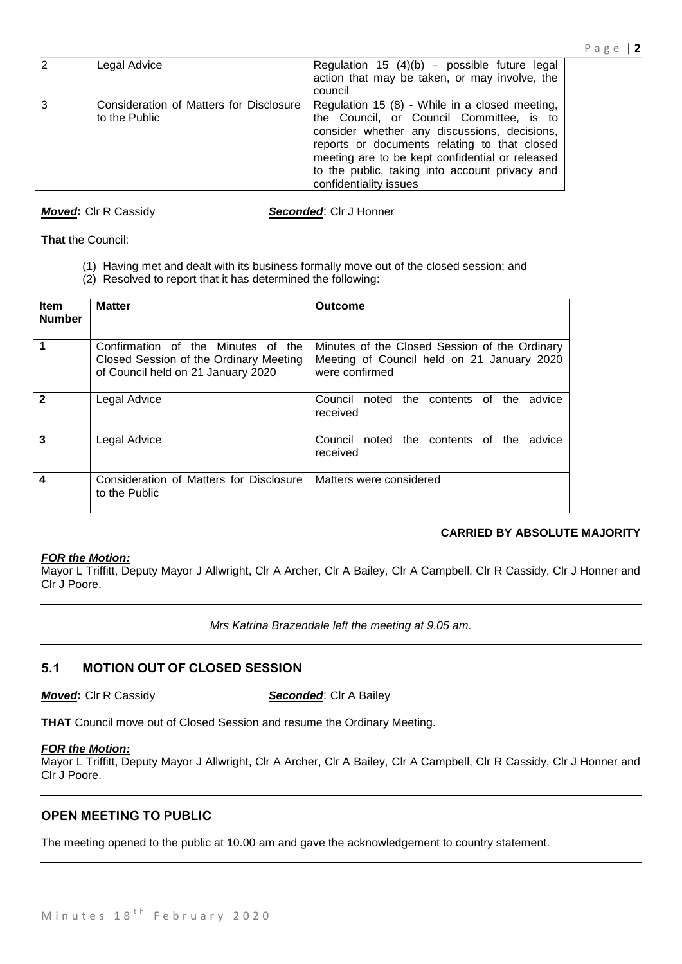| $\mathcal{P}$ | Legal Advice                                             | Regulation 15 $(4)(b)$ – possible future legal<br>action that may be taken, or may involve, the<br>council                                                                                                                                                                                                                |
|---------------|----------------------------------------------------------|---------------------------------------------------------------------------------------------------------------------------------------------------------------------------------------------------------------------------------------------------------------------------------------------------------------------------|
| 3             | Consideration of Matters for Disclosure<br>to the Public | Regulation 15 (8) - While in a closed meeting,<br>the Council, or Council Committee, is to<br>consider whether any discussions, decisions,<br>reports or documents relating to that closed<br>meeting are to be kept confidential or released<br>to the public, taking into account privacy and<br>confidentiality issues |

*Moved***:** Clr R Cassidy *Seconded*: Clr J Honner

**That** the Council:

- (1) Having met and dealt with its business formally move out of the closed session; and
- (2) Resolved to report that it has determined the following:

| <b>Item</b><br><b>Number</b> | <b>Matter</b>                                                                                                      | Outcome                                                                                                       |  |  |
|------------------------------|--------------------------------------------------------------------------------------------------------------------|---------------------------------------------------------------------------------------------------------------|--|--|
|                              | Confirmation of the Minutes of the<br>Closed Session of the Ordinary Meeting<br>of Council held on 21 January 2020 | Minutes of the Closed Session of the Ordinary<br>Meeting of Council held on 21 January 2020<br>were confirmed |  |  |
| $\mathbf{2}$                 | Legal Advice                                                                                                       | contents of<br>Council noted<br>the<br>the<br>advice<br>received                                              |  |  |
| 3                            | Legal Advice                                                                                                       | contents of<br>Council noted the<br>advice<br>the<br>received                                                 |  |  |
| 4                            | Consideration of Matters for Disclosure<br>to the Public                                                           | Matters were considered                                                                                       |  |  |

# **CARRIED BY ABSOLUTE MAJORITY**

# *FOR the Motion:*

Mayor L Triffitt, Deputy Mayor J Allwright, Clr A Archer, Clr A Bailey, Clr A Campbell, Clr R Cassidy, Clr J Honner and Clr J Poore.

*Mrs Katrina Brazendale left the meeting at 9.05 am.*

# **5.1 MOTION OUT OF CLOSED SESSION**

*Moved***:** Clr R Cassidy **Seconded:** Clr A Bailey

**THAT** Council move out of Closed Session and resume the Ordinary Meeting.

# *FOR the Motion:*

Mayor L Triffitt, Deputy Mayor J Allwright, Clr A Archer, Clr A Bailey, Clr A Campbell, Clr R Cassidy, Clr J Honner and Clr J Poore.

# **OPEN MEETING TO PUBLIC**

The meeting opened to the public at 10.00 am and gave the acknowledgement to country statement.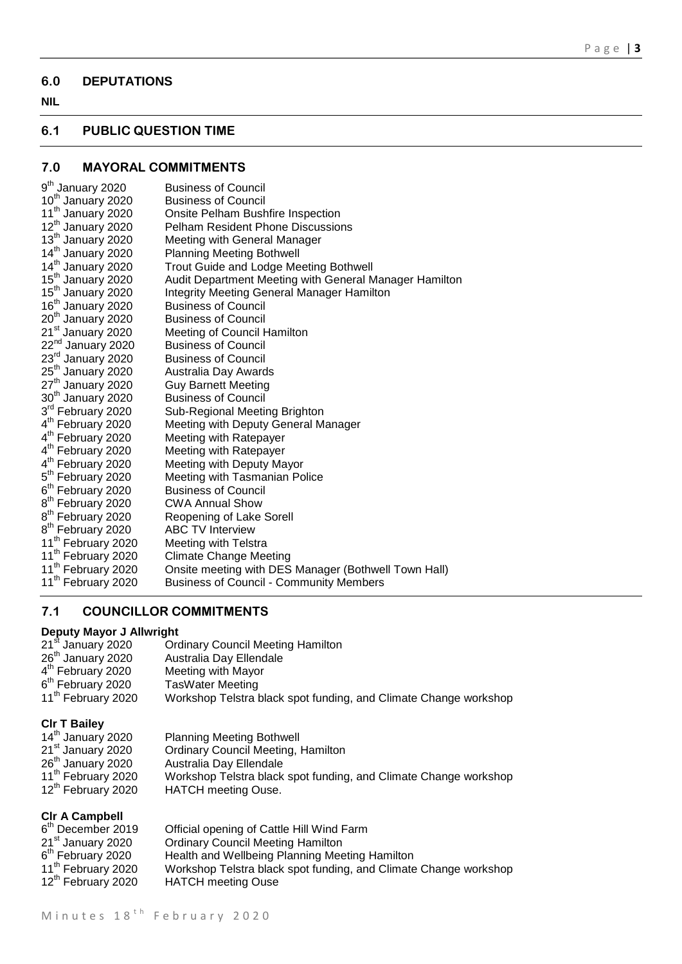# **6.0 DEPUTATIONS**

# **NIL**

# **6.1 PUBLIC QUESTION TIME**

# **7.0 MAYORAL COMMITMENTS**

| 9 <sup>th</sup> January 2020   | <b>Business of Council</b>                             |
|--------------------------------|--------------------------------------------------------|
| 10 <sup>th</sup> January 2020  | <b>Business of Council</b>                             |
| 11 <sup>th</sup> January 2020  | Onsite Pelham Bushfire Inspection                      |
| 12 <sup>th</sup> January 2020  | <b>Pelham Resident Phone Discussions</b>               |
| 13 <sup>th</sup> January 2020  | Meeting with General Manager                           |
| 14 <sup>th</sup> January 2020  | <b>Planning Meeting Bothwell</b>                       |
| 14 <sup>th</sup> January 2020  | Trout Guide and Lodge Meeting Bothwell                 |
| 15 <sup>th</sup> January 2020  | Audit Department Meeting with General Manager Hamilton |
| 15 <sup>th</sup> January 2020  | <b>Integrity Meeting General Manager Hamilton</b>      |
| 16 <sup>th</sup> January 2020  | <b>Business of Council</b>                             |
| 20 <sup>th</sup> January 2020  | <b>Business of Council</b>                             |
| 21 <sup>st</sup> January 2020  | Meeting of Council Hamilton                            |
| 22 <sup>nd</sup> January 2020  | <b>Business of Council</b>                             |
| 23rd January 2020              | <b>Business of Council</b>                             |
| 25 <sup>th</sup> January 2020  | Australia Day Awards                                   |
| 27 <sup>th</sup> January 2020  | <b>Guy Barnett Meeting</b>                             |
| 30 <sup>th</sup> January 2020  | <b>Business of Council</b>                             |
| 3rd February 2020              | Sub-Regional Meeting Brighton                          |
| 4 <sup>th</sup> February 2020  | Meeting with Deputy General Manager                    |
| 4 <sup>th</sup> February 2020  | Meeting with Ratepayer                                 |
| 4 <sup>th</sup> February 2020  | Meeting with Ratepayer                                 |
| 4 <sup>th</sup> February 2020  | Meeting with Deputy Mayor                              |
| 5 <sup>th</sup> February 2020  | Meeting with Tasmanian Police                          |
| 6 <sup>th</sup> February 2020  | <b>Business of Council</b>                             |
| 8 <sup>th</sup> February 2020  | <b>CWA Annual Show</b>                                 |
| 8 <sup>th</sup> February 2020  | Reopening of Lake Sorell                               |
| 8 <sup>th</sup> February 2020  | <b>ABC TV Interview</b>                                |
| 11 <sup>th</sup> February 2020 | Meeting with Telstra                                   |
| 11 <sup>th</sup> February 2020 | <b>Climate Change Meeting</b>                          |
| 11 <sup>th</sup> February 2020 | Onsite meeting with DES Manager (Bothwell Town Hall)   |
| 11 <sup>th</sup> February 2020 | <b>Business of Council - Community Members</b>         |

# **7.1 COUNCILLOR COMMITMENTS**

# **Deputy Mayor J Allwright**

| 21 <sup>st</sup> January 2020  | <b>Ordinary Council Meeting Hamilton</b>                         |
|--------------------------------|------------------------------------------------------------------|
| 26 <sup>th</sup> January 2020  | Australia Day Ellendale                                          |
| 4 <sup>th</sup> February 2020  | Meeting with Mayor                                               |
| 6 <sup>th</sup> February 2020  | <b>TasWater Meeting</b>                                          |
| 11 <sup>th</sup> February 2020 | Workshop Telstra black spot funding, and Climate Change workshop |

# **Clr T Bailey**

| 14 <sup>th</sup> January 2020  | <b>Planning Meeting Bothwell</b>                                 |
|--------------------------------|------------------------------------------------------------------|
| 21 <sup>st</sup> January 2020  | <b>Ordinary Council Meeting, Hamilton</b>                        |
| 26 <sup>th</sup> January 2020  | Australia Day Ellendale                                          |
| 11 <sup>th</sup> February 2020 | Workshop Telstra black spot funding, and Climate Change workshop |
| 12 <sup>th</sup> February 2020 | <b>HATCH</b> meeting Ouse.                                       |

# **Clr A Campbell**

| <b>VII A VAIIINNAII</b>        |                                                                  |
|--------------------------------|------------------------------------------------------------------|
| 6 <sup>th</sup> December 2019  | Official opening of Cattle Hill Wind Farm                        |
| 21 <sup>st</sup> January 2020  | <b>Ordinary Council Meeting Hamilton</b>                         |
| 6 <sup>th</sup> February 2020  | Health and Wellbeing Planning Meeting Hamilton                   |
| 11 <sup>th</sup> February 2020 | Workshop Telstra black spot funding, and Climate Change workshop |
| 12 <sup>th</sup> February 2020 | <b>HATCH</b> meeting Ouse                                        |
|                                |                                                                  |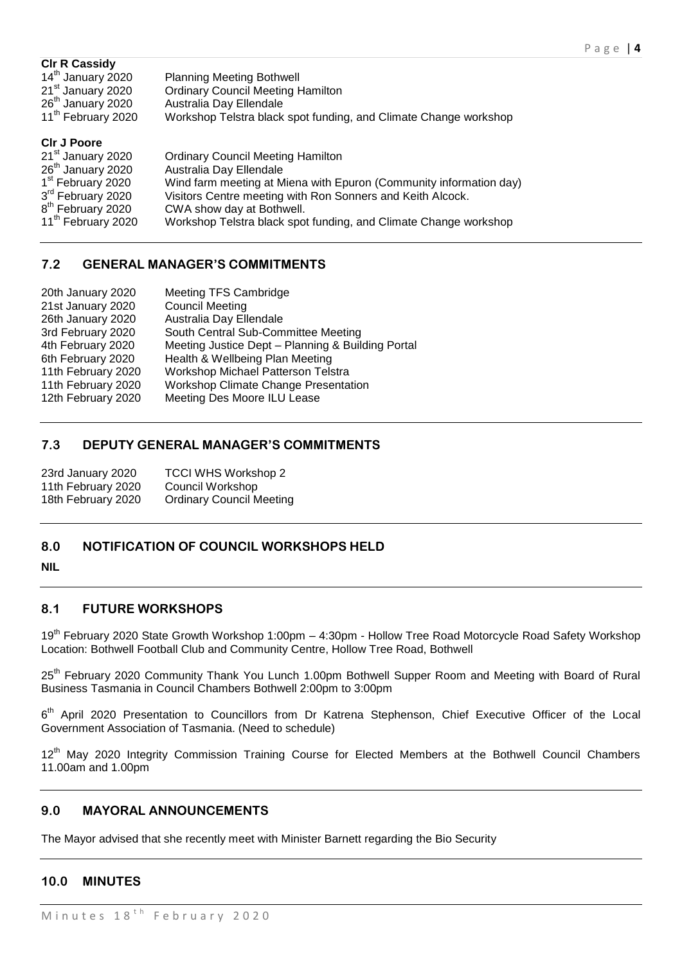| <b>CIr R Cassidy</b><br>14 <sup>th</sup> January 2020<br>21 <sup>st</sup> January 2020<br>26 <sup>th</sup> January 2020<br>11 <sup>th</sup> February 2020                                                     | <b>Planning Meeting Bothwell</b><br><b>Ordinary Council Meeting Hamilton</b><br>Australia Day Ellendale<br>Workshop Telstra black spot funding, and Climate Change workshop                                                                                                                              |
|---------------------------------------------------------------------------------------------------------------------------------------------------------------------------------------------------------------|----------------------------------------------------------------------------------------------------------------------------------------------------------------------------------------------------------------------------------------------------------------------------------------------------------|
| <b>CIr J Poore</b><br>21 <sup>st</sup> January 2020<br>26 <sup>th</sup> January 2020<br>1 <sup>st</sup> February 2020<br>3rd February 2020<br>8 <sup>th</sup> February 2020<br>11 <sup>th</sup> February 2020 | <b>Ordinary Council Meeting Hamilton</b><br>Australia Day Ellendale<br>Wind farm meeting at Miena with Epuron (Community information day)<br>Visitors Centre meeting with Ron Sonners and Keith Alcock.<br>CWA show day at Bothwell.<br>Workshop Telstra black spot funding, and Climate Change workshop |

# **7.2 GENERAL MANAGER'S COMMITMENTS**

| 20th January 2020  | <b>Meeting TFS Cambridge</b>                      |
|--------------------|---------------------------------------------------|
| 21st January 2020  | <b>Council Meeting</b>                            |
| 26th January 2020  | Australia Day Ellendale                           |
| 3rd February 2020  | South Central Sub-Committee Meeting               |
| 4th February 2020  | Meeting Justice Dept - Planning & Building Portal |
| 6th February 2020  | Health & Wellbeing Plan Meeting                   |
| 11th February 2020 | Workshop Michael Patterson Telstra                |
| 11th February 2020 | <b>Workshop Climate Change Presentation</b>       |
| 12th February 2020 | Meeting Des Moore ILU Lease                       |
|                    |                                                   |

# **7.3 DEPUTY GENERAL MANAGER'S COMMITMENTS**

| 23rd January 2020  | <b>TCCI WHS Workshop 2</b>      |
|--------------------|---------------------------------|
| 11th February 2020 | Council Workshop                |
| 18th February 2020 | <b>Ordinary Council Meeting</b> |

# **8.0 NOTIFICATION OF COUNCIL WORKSHOPS HELD**

#### **NIL**

# **8.1 FUTURE WORKSHOPS**

19<sup>th</sup> February 2020 State Growth Workshop 1:00pm - 4:30pm - Hollow Tree Road Motorcycle Road Safety Workshop Location: Bothwell Football Club and Community Centre, Hollow Tree Road, Bothwell

25<sup>th</sup> February 2020 Community Thank You Lunch 1.00pm Bothwell Supper Room and Meeting with Board of Rural Business Tasmania in Council Chambers Bothwell 2:00pm to 3:00pm

6<sup>th</sup> April 2020 Presentation to Councillors from Dr Katrena Stephenson, Chief Executive Officer of the Local Government Association of Tasmania. (Need to schedule)

12<sup>th</sup> May 2020 Integrity Commission Training Course for Elected Members at the Bothwell Council Chambers 11.00am and 1.00pm

# **9.0 MAYORAL ANNOUNCEMENTS**

The Mayor advised that she recently meet with Minister Barnett regarding the Bio Security

# **10.0 MINUTES**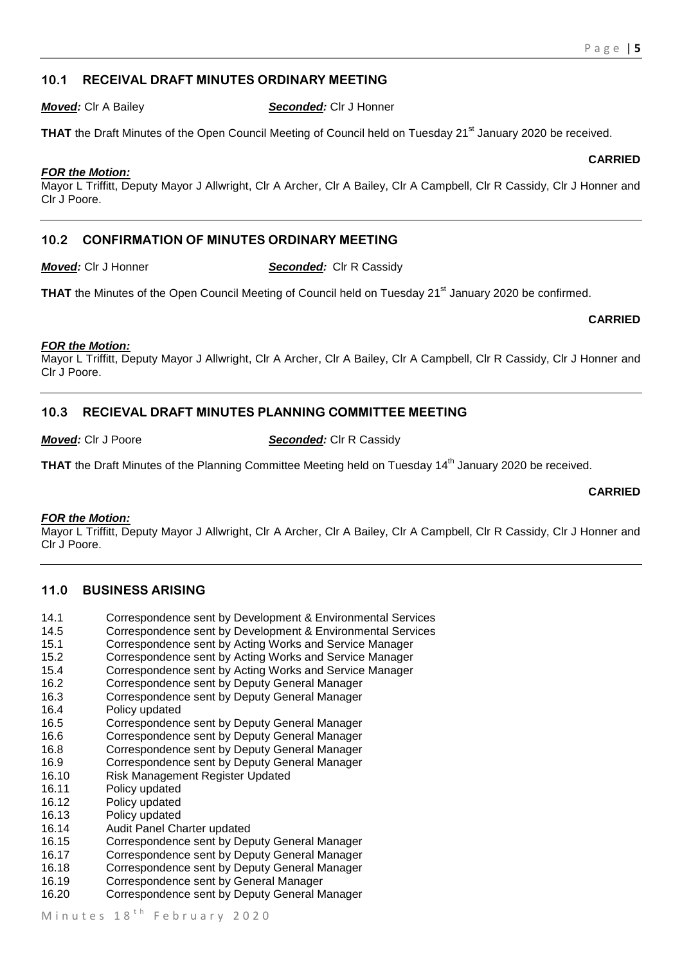# **10.1 RECEIVAL DRAFT MINUTES ORDINARY MEETING**

*Moved:* Clr A Bailey *Seconded:* Clr J Honner

**THAT** the Draft Minutes of the Open Council Meeting of Council held on Tuesday 21<sup>st</sup> January 2020 be received.

#### *FOR the Motion:*

Mayor L Triffitt, Deputy Mayor J Allwright, Clr A Archer, Clr A Bailey, Clr A Campbell, Clr R Cassidy, Clr J Honner and Clr J Poore.

# **10.2 CONFIRMATION OF MINUTES ORDINARY MEETING**

*Moved:* Clr J Honner *Seconded:* Clr R Cassidy

THAT the Minutes of the Open Council Meeting of Council held on Tuesday 21<sup>st</sup> January 2020 be confirmed.

**CARRIED**

#### *FOR the Motion:*

Mayor L Triffitt, Deputy Mayor J Allwright, Clr A Archer, Clr A Bailey, Clr A Campbell, Clr R Cassidy, Clr J Honner and Clr J Poore.

# **10.3 RECIEVAL DRAFT MINUTES PLANNING COMMITTEE MEETING**

*Moved:* Clr J Poore *Seconded:* Clr R Cassidy

**THAT** the Draft Minutes of the Planning Committee Meeting held on Tuesday 14<sup>th</sup> January 2020 be received.

#### **CARRIED**

#### *FOR the Motion:*

Mayor L Triffitt, Deputy Mayor J Allwright, Clr A Archer, Clr A Bailey, Clr A Campbell, Clr R Cassidy, Clr J Honner and Clr J Poore.

#### **11.0 BUSINESS ARISING**

- 14.1 Correspondence sent by Development & Environmental Services
- 14.5 Correspondence sent by Development & Environmental Services
- 15.1 Correspondence sent by Acting Works and Service Manager
- 15.2 Correspondence sent by Acting Works and Service Manager
- 15.4 Correspondence sent by Acting Works and Service Manager
- 16.2 Correspondence sent by Deputy General Manager
- 16.3 Correspondence sent by Deputy General Manager
- 16.4 Policy updated
- 16.5 Correspondence sent by Deputy General Manager
- 16.6 Correspondence sent by Deputy General Manager
- 16.8 Correspondence sent by Deputy General Manager
- 16.9 Correspondence sent by Deputy General Manager
- 16.10 Risk Management Register Updated
- 16.11 Policy updated
- 16.12 Policy updated<br>16.13 Policy undated
- Policy updated
- 16.14 Audit Panel Charter updated
- 16.15 Correspondence sent by Deputy General Manager
- 16.17 Correspondence sent by Deputy General Manager
- 16.18 Correspondence sent by Deputy General Manager
- 16.19 Correspondence sent by General Manager
- 16.20 Correspondence sent by Deputy General Manager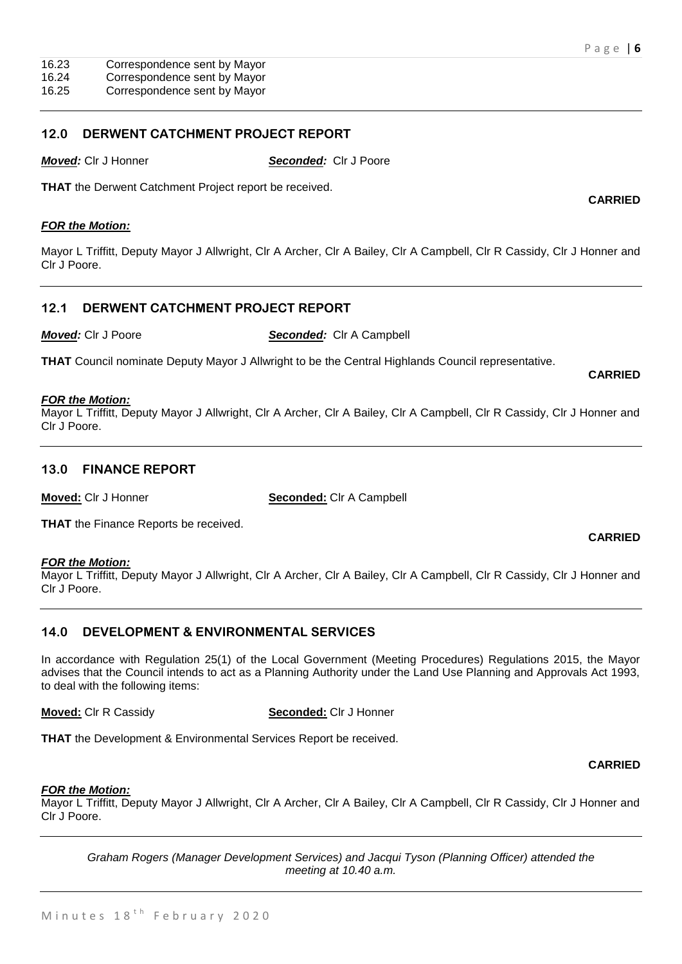16.25 Correspondence sent by Mayor

# **12.0 DERWENT CATCHMENT PROJECT REPORT**

*Moved:* Clr J Honner *Seconded:* Clr J Poore

**THAT** the Derwent Catchment Project report be received.

#### *FOR the Motion:*

Mayor L Triffitt, Deputy Mayor J Allwright, Clr A Archer, Clr A Bailey, Clr A Campbell, Clr R Cassidy, Clr J Honner and Clr J Poore.

# **12.1 DERWENT CATCHMENT PROJECT REPORT**

*Moved:* Clr J Poore *Seconded:* Clr A Campbell

**THAT** Council nominate Deputy Mayor J Allwright to be the Central Highlands Council representative.

#### *FOR the Motion:*

Mayor L Triffitt, Deputy Mayor J Allwright, Clr A Archer, Clr A Bailey, Clr A Campbell, Clr R Cassidy, Clr J Honner and Clr J Poore.

# **13.0 FINANCE REPORT**

**Moved:** Clr J Honner **Seconded:** Clr A Campbell

**THAT** the Finance Reports be received.

#### *FOR the Motion:*

Mayor L Triffitt, Deputy Mayor J Allwright, Clr A Archer, Clr A Bailey, Clr A Campbell, Clr R Cassidy, Clr J Honner and Clr J Poore.

# **14.0 DEVELOPMENT & ENVIRONMENTAL SERVICES**

In accordance with Regulation 25(1) of the Local Government (Meeting Procedures) Regulations 2015, the Mayor advises that the Council intends to act as a Planning Authority under the Land Use Planning and Approvals Act 1993, to deal with the following items:

**Moved:** Clr R Cassidy **Seconded:** Clr J Honner

**THAT** the Development & Environmental Services Report be received.

#### *FOR the Motion:*

Mayor L Triffitt, Deputy Mayor J Allwright, Clr A Archer, Clr A Bailey, Clr A Campbell, Clr R Cassidy, Clr J Honner and Clr J Poore.

*Graham Rogers (Manager Development Services) and Jacqui Tyson (Planning Officer) attended the meeting at 10.40 a.m.*

**CARRIED**

# **CARRIED**

**CARRIED**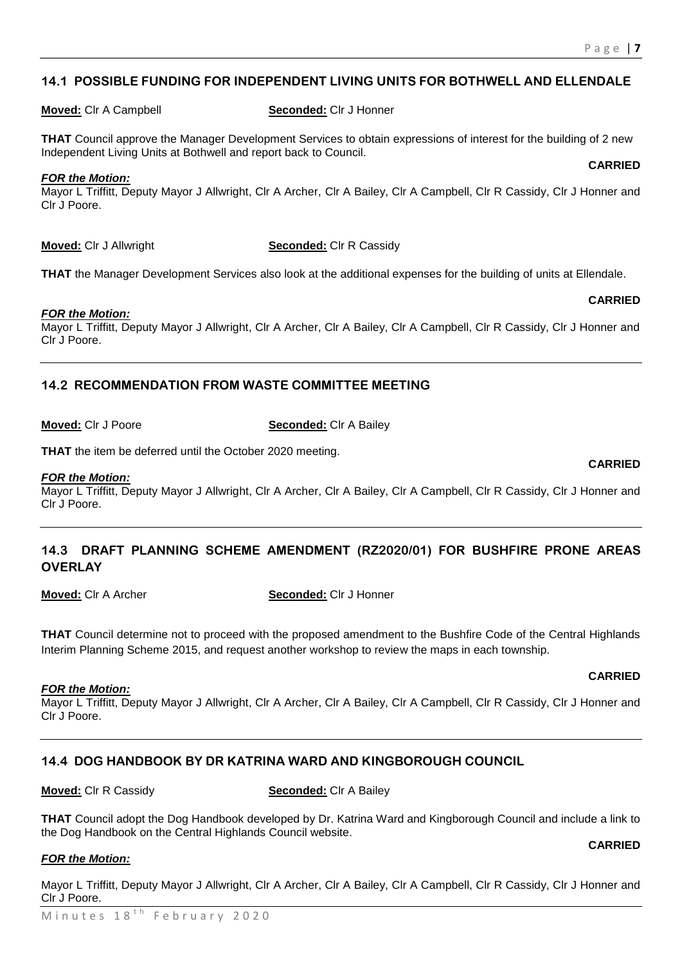### **14.1 POSSIBLE FUNDING FOR INDEPENDENT LIVING UNITS FOR BOTHWELL AND ELLENDALE**

**Moved:** Clr A Campbell **Seconded:** Clr J Honner

**THAT** Council approve the Manager Development Services to obtain expressions of interest for the building of 2 new Independent Living Units at Bothwell and report back to Council. **CARRIED**

#### *FOR the Motion:*

Mayor L Triffitt, Deputy Mayor J Allwright, Clr A Archer, Clr A Bailey, Clr A Campbell, Clr R Cassidy, Clr J Honner and Clr J Poore.

**Moved:** Clr J Allwright **Seconded:** Clr R Cassidy

**THAT** the Manager Development Services also look at the additional expenses for the building of units at Ellendale.

#### *FOR the Motion:*

Mayor L Triffitt, Deputy Mayor J Allwright, Clr A Archer, Clr A Bailey, Clr A Campbell, Clr R Cassidy, Clr J Honner and Clr J Poore.

# **14.2 RECOMMENDATION FROM WASTE COMMITTEE MEETING**

**Moved:** Clr J Poore **Seconded:** Clr A Bailey

**THAT** the item be deferred until the October 2020 meeting.

#### *FOR the Motion:*

Mayor L Triffitt, Deputy Mayor J Allwright, Clr A Archer, Clr A Bailey, Clr A Campbell, Clr R Cassidy, Clr J Honner and Clr J Poore.

# **14.3 DRAFT PLANNING SCHEME AMENDMENT (RZ2020/01) FOR BUSHFIRE PRONE AREAS OVERLAY**

**Moved:** Clr A Archer **Seconded:** Clr J Honner

**THAT** Council determine not to proceed with the proposed amendment to the Bushfire Code of the Central Highlands Interim Planning Scheme 2015, and request another workshop to review the maps in each township.

#### *FOR the Motion:*

Mayor L Triffitt, Deputy Mayor J Allwright, Clr A Archer, Clr A Bailey, Clr A Campbell, Clr R Cassidy, Clr J Honner and Clr J Poore.

# **14.4 DOG HANDBOOK BY DR KATRINA WARD AND KINGBOROUGH COUNCIL**

**Moved:** Clr R Cassidy **Seconded:** Clr A Bailey

**THAT** Council adopt the Dog Handbook developed by Dr. Katrina Ward and Kingborough Council and include a link to the Dog Handbook on the Central Highlands Council website. **CARRIED**

#### *FOR the Motion:*

Mayor L Triffitt, Deputy Mayor J Allwright, Clr A Archer, Clr A Bailey, Clr A Campbell, Clr R Cassidy, Clr J Honner and Clr J Poore.

# **CARRIED**

# **CARRIED**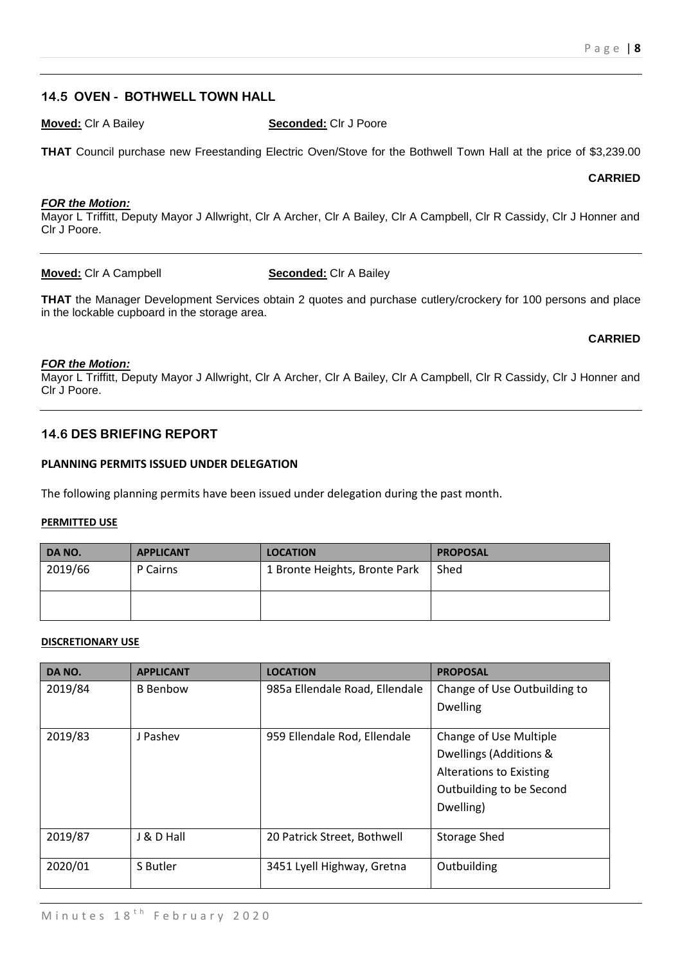#### **14.5 OVEN - BOTHWELL TOWN HALL**

**Moved:** Clr A Bailey **Seconded:** Clr J Poore

**THAT** Council purchase new Freestanding Electric Oven/Stove for the Bothwell Town Hall at the price of \$3,239.00

**CARRIED**

#### *FOR the Motion:*

Mayor L Triffitt, Deputy Mayor J Allwright, Clr A Archer, Clr A Bailey, Clr A Campbell, Clr R Cassidy, Clr J Honner and Clr J Poore.

**Moved:** Clr A Campbell **Seconded:** Clr A Bailey

**THAT** the Manager Development Services obtain 2 quotes and purchase cutlery/crockery for 100 persons and place in the lockable cupboard in the storage area.

#### **CARRIED**

#### *FOR the Motion:*

Mayor L Triffitt, Deputy Mayor J Allwright, Clr A Archer, Clr A Bailey, Clr A Campbell, Clr R Cassidy, Clr J Honner and Clr J Poore.

#### **14.6 DES BRIEFING REPORT**

#### **PLANNING PERMITS ISSUED UNDER DELEGATION**

The following planning permits have been issued under delegation during the past month.

#### **PERMITTED USE**

| DA NO.  | <b>APPLICANT</b> | <b>LOCATION</b>               | <b>PROPOSAL</b> |
|---------|------------------|-------------------------------|-----------------|
| 2019/66 | P Cairns         | 1 Bronte Heights, Bronte Park | Shed            |
|         |                  |                               |                 |
|         |                  |                               |                 |
|         |                  |                               |                 |

#### **DISCRETIONARY USE**

| DA NO.  | <b>APPLICANT</b> | <b>LOCATION</b>                | <b>PROPOSAL</b>                |
|---------|------------------|--------------------------------|--------------------------------|
| 2019/84 | <b>B</b> Benbow  | 985a Ellendale Road, Ellendale | Change of Use Outbuilding to   |
|         |                  |                                | <b>Dwelling</b>                |
| 2019/83 | J Pashev         | 959 Ellendale Rod, Ellendale   | Change of Use Multiple         |
|         |                  |                                | Dwellings (Additions &         |
|         |                  |                                | <b>Alterations to Existing</b> |
|         |                  |                                | Outbuilding to be Second       |
|         |                  |                                | Dwelling)                      |
|         |                  |                                |                                |
| 2019/87 | J & D Hall       | 20 Patrick Street, Bothwell    | <b>Storage Shed</b>            |
| 2020/01 | S Butler         | 3451 Lyell Highway, Gretna     | Outbuilding                    |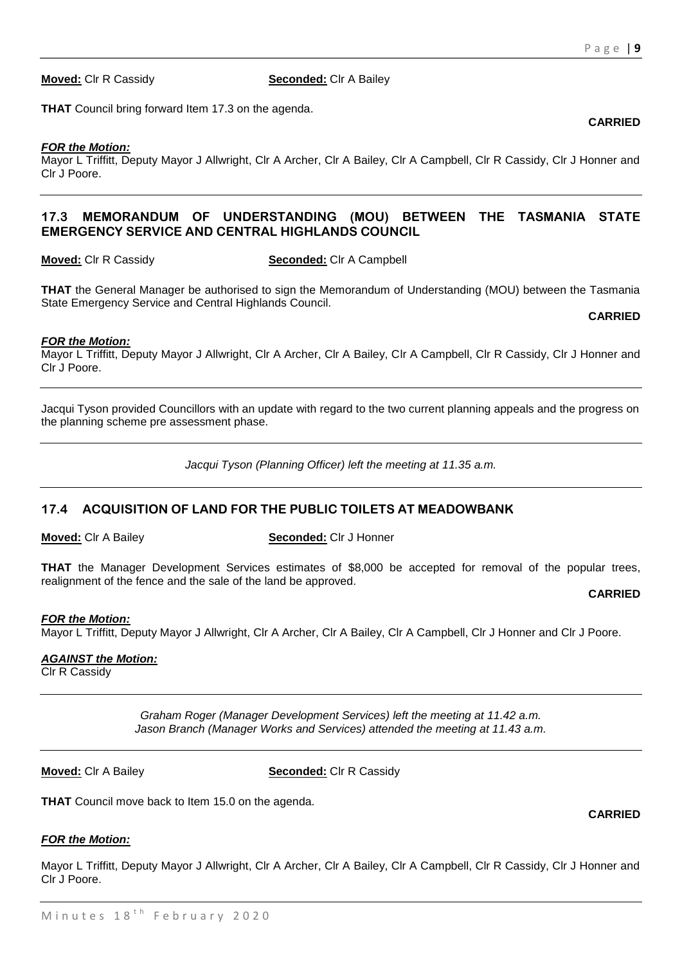**Moved:** Clr R Cassidy **Seconded:** Clr A Bailey

**THAT** Council bring forward Item 17.3 on the agenda.

#### *FOR the Motion:*

Mayor L Triffitt, Deputy Mayor J Allwright, Clr A Archer, Clr A Bailey, Clr A Campbell, Clr R Cassidy, Clr J Honner and Clr J Poore.

# **17.3 MEMORANDUM OF UNDERSTANDING (MOU) BETWEEN THE TASMANIA STATE EMERGENCY SERVICE AND CENTRAL HIGHLANDS COUNCIL**

**Moved:** Clr R Cassidy **Seconded:** Clr A Campbell

**THAT** the General Manager be authorised to sign the Memorandum of Understanding (MOU) between the Tasmania State Emergency Service and Central Highlands Council.

#### **CARRIED**

#### *FOR the Motion:*

Mayor L Triffitt, Deputy Mayor J Allwright, Clr A Archer, Clr A Bailey, Clr A Campbell, Clr R Cassidy, Clr J Honner and Clr J Poore.

Jacqui Tyson provided Councillors with an update with regard to the two current planning appeals and the progress on the planning scheme pre assessment phase.

*Jacqui Tyson (Planning Officer) left the meeting at 11.35 a.m.*

# **17.4 ACQUISITION OF LAND FOR THE PUBLIC TOILETS AT MEADOWBANK**

**Moved:** Clr A Bailey **Seconded:** Clr J Honner

**THAT** the Manager Development Services estimates of \$8,000 be accepted for removal of the popular trees, realignment of the fence and the sale of the land be approved.

**CARRIED**

#### *FOR the Motion:*

Mayor L Triffitt, Deputy Mayor J Allwright, Clr A Archer, Clr A Bailey, Clr A Campbell, Clr J Honner and Clr J Poore.

#### *AGAINST the Motion:*

Clr R Cassidy

*Graham Roger (Manager Development Services) left the meeting at 11.42 a.m. Jason Branch (Manager Works and Services) attended the meeting at 11.43 a.m.*

**Moved:** Clr A Bailey **Seconded:** Clr R Cassidy

**THAT** Council move back to Item 15.0 on the agenda.

#### *FOR the Motion:*

Mayor L Triffitt, Deputy Mayor J Allwright, Clr A Archer, Clr A Bailey, Clr A Campbell, Clr R Cassidy, Clr J Honner and Clr J Poore.

**CARRIED**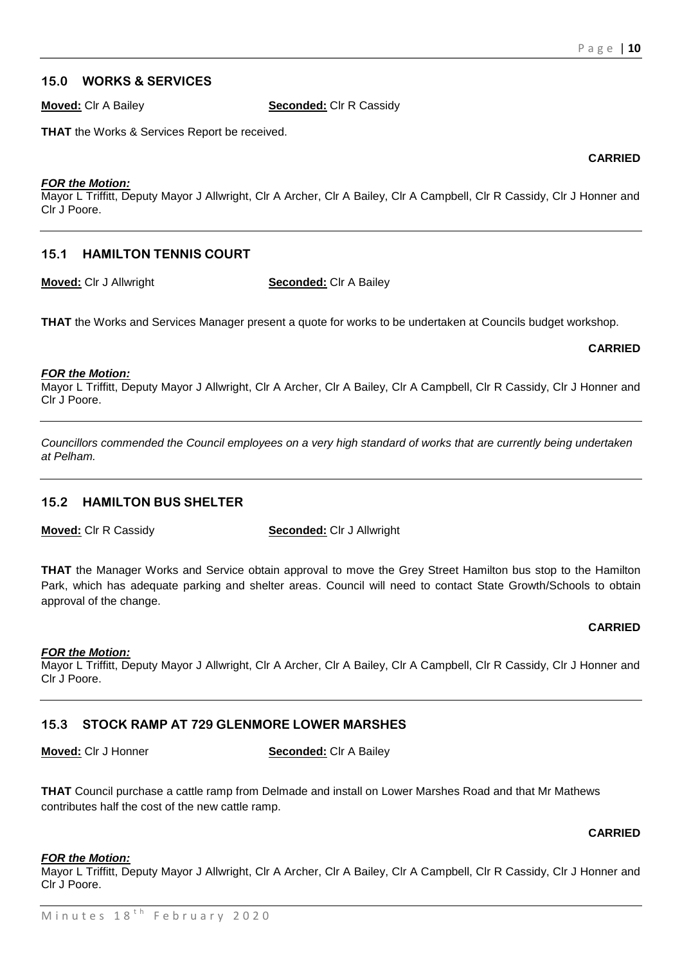**CARRIED**

# **15.0 WORKS & SERVICES**

**Moved:** Clr A Bailey **Seconded:** Clr R Cassidy

**THAT** the Works & Services Report be received.

#### *FOR the Motion:*

Mayor L Triffitt, Deputy Mayor J Allwright, Clr A Archer, Clr A Bailey, Clr A Campbell, Clr R Cassidy, Clr J Honner and Clr J Poore.

# **15.1 HAMILTON TENNIS COURT**

**Moved:** Clr J Allwright **Seconded:** Clr A Bailey

**THAT** the Works and Services Manager present a quote for works to be undertaken at Councils budget workshop.

#### **CARRIED**

#### *FOR the Motion:*

Mayor L Triffitt, Deputy Mayor J Allwright, Clr A Archer, Clr A Bailey, Clr A Campbell, Clr R Cassidy, Clr J Honner and Clr J Poore.

*Councillors commended the Council employees on a very high standard of works that are currently being undertaken at Pelham.* 

#### **15.2 HAMILTON BUS SHELTER**

**Moved:** Clr R Cassidy **Seconded:** Clr J Allwright

**THAT** the Manager Works and Service obtain approval to move the Grey Street Hamilton bus stop to the Hamilton Park, which has adequate parking and shelter areas. Council will need to contact State Growth/Schools to obtain approval of the change.

#### *FOR the Motion:*

Mayor L Triffitt, Deputy Mayor J Allwright, Clr A Archer, Clr A Bailey, Clr A Campbell, Clr R Cassidy, Clr J Honner and Clr J Poore.

# **15.3 STOCK RAMP AT 729 GLENMORE LOWER MARSHES**

**Moved:** Clr J Honner **Seconded:** Clr A Bailey

**THAT** Council purchase a cattle ramp from Delmade and install on Lower Marshes Road and that Mr Mathews contributes half the cost of the new cattle ramp.

#### **CARRIED**

**CARRIED**

#### *FOR the Motion:*

Mayor L Triffitt, Deputy Mayor J Allwright, Clr A Archer, Clr A Bailey, Clr A Campbell, Clr R Cassidy, Clr J Honner and Clr J Poore.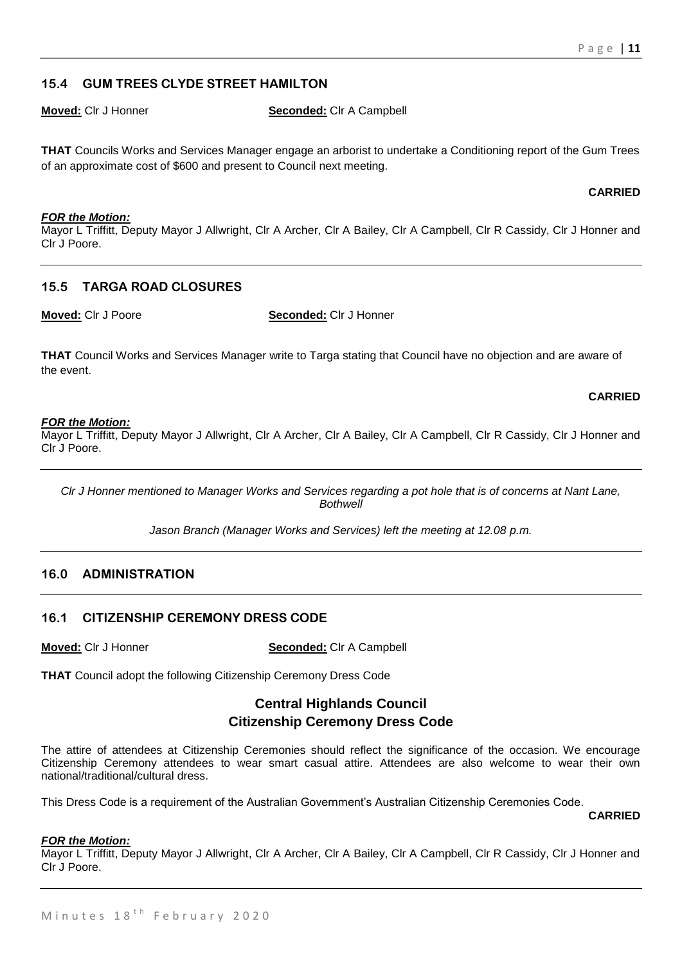# **15.4 GUM TREES CLYDE STREET HAMILTON**

**Moved:** Cir J Honner **Seconded:** Cir A Campbell

**THAT** Councils Works and Services Manager engage an arborist to undertake a Conditioning report of the Gum Trees of an approximate cost of \$600 and present to Council next meeting.

#### **CARRIED**

*FOR the Motion:* Mayor L Triffitt, Deputy Mayor J Allwright, Clr A Archer, Clr A Bailey, Clr A Campbell, Clr R Cassidy, Clr J Honner and Clr J Poore.

# **15.5 TARGA ROAD CLOSURES**

**Moved:** Clr J Poore **Seconded:** Clr J Honner

**THAT** Council Works and Services Manager write to Targa stating that Council have no objection and are aware of the event.

#### **CARRIED**

#### *FOR the Motion:*

Mayor L Triffitt, Deputy Mayor J Allwright, Clr A Archer, Clr A Bailey, Clr A Campbell, Clr R Cassidy, Clr J Honner and Clr J Poore.

*Clr J Honner mentioned to Manager Works and Services regarding a pot hole that is of concerns at Nant Lane, Bothwell*

*Jason Branch (Manager Works and Services) left the meeting at 12.08 p.m.*

# **16.0 ADMINISTRATION**

# **16.1 CITIZENSHIP CEREMONY DRESS CODE**

**Moved:** Clr J Honner **Seconded:** Clr A Campbell

**THAT** Council adopt the following Citizenship Ceremony Dress Code

# **Central Highlands Council Citizenship Ceremony Dress Code**

The attire of attendees at Citizenship Ceremonies should reflect the significance of the occasion. We encourage Citizenship Ceremony attendees to wear smart casual attire. Attendees are also welcome to wear their own national/traditional/cultural dress.

This Dress Code is a requirement of the Australian Government's Australian Citizenship Ceremonies Code.

#### **CARRIED**

#### *FOR the Motion:*

Mayor L Triffitt, Deputy Mayor J Allwright, Clr A Archer, Clr A Bailey, Clr A Campbell, Clr R Cassidy, Clr J Honner and Clr J Poore.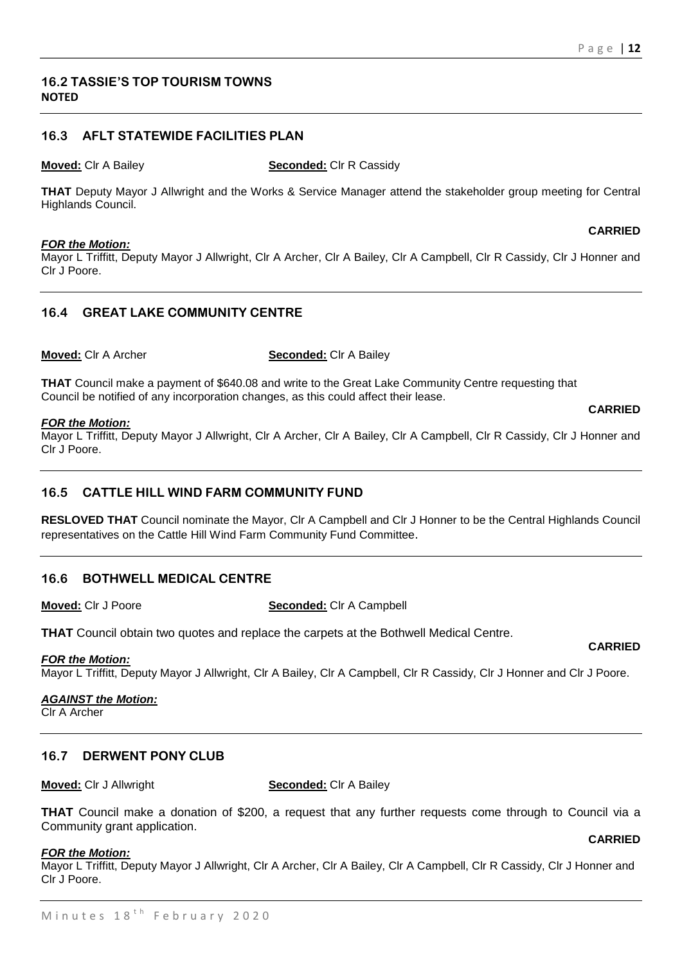# **16.2 TASSIE'S TOP TOURISM TOWNS NOTED**

# **16.3 AFLT STATEWIDE FACILITIES PLAN**

**Moved:** Clr A Bailey **Seconded:** Clr R Cassidy

**THAT** Deputy Mayor J Allwright and the Works & Service Manager attend the stakeholder group meeting for Central Highlands Council.

#### *FOR the Motion:*

Mayor L Triffitt, Deputy Mayor J Allwright, Clr A Archer, Clr A Bailey, Clr A Campbell, Clr R Cassidy, Clr J Honner and Clr J Poore.

# **16.4 GREAT LAKE COMMUNITY CENTRE**

**Moved:** Clr A Archer **Seconded:** Clr A Bailey

**THAT** Council make a payment of \$640.08 and write to the Great Lake Community Centre requesting that Council be notified of any incorporation changes, as this could affect their lease.

#### *FOR the Motion:*

Mayor L Triffitt, Deputy Mayor J Allwright, Clr A Archer, Clr A Bailey, Clr A Campbell, Clr R Cassidy, Clr J Honner and Clr J Poore.

# **16.5 CATTLE HILL WIND FARM COMMUNITY FUND**

**RESLOVED THAT** Council nominate the Mayor, Clr A Campbell and Clr J Honner to be the Central Highlands Council representatives on the Cattle Hill Wind Farm Community Fund Committee.

# **16.6 BOTHWELL MEDICAL CENTRE**

**Moved:** Clr J Poore **Seconded:** Clr A Campbell

**THAT** Council obtain two quotes and replace the carpets at the Bothwell Medical Centre.

#### *FOR the Motion:*

Mayor L Triffitt, Deputy Mayor J Allwright, Clr A Bailey, Clr A Campbell, Clr R Cassidy, Clr J Honner and Clr J Poore.

#### *AGAINST the Motion:*

Clr A Archer

# **16.7 DERWENT PONY CLUB**

**Moved:** Clr J Allwright **Seconded:** Clr A Bailey

**THAT** Council make a donation of \$200, a request that any further requests come through to Council via a Community grant application.

#### *FOR the Motion:*

Mayor L Triffitt, Deputy Mayor J Allwright, Clr A Archer, Clr A Bailey, Clr A Campbell, Clr R Cassidy, Clr J Honner and Clr J Poore.

#### **CARRIED**

**CARRIED**

#### **CARRIED**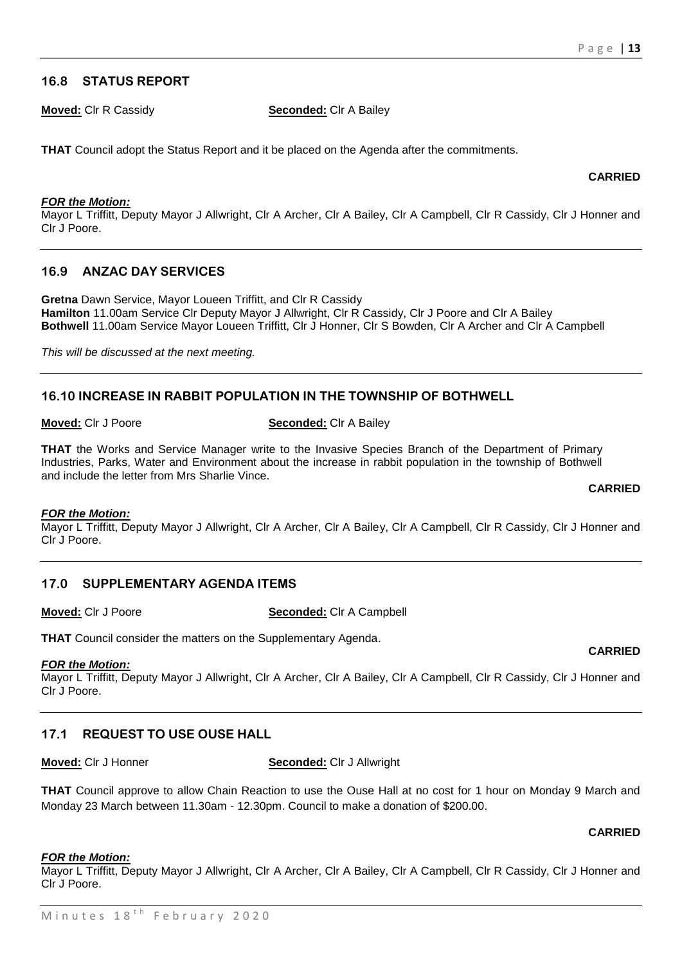**CARRIED**

# **16.8 STATUS REPORT**

**Moved:** Clr R Cassidy **Seconded:** Clr A Bailey

**THAT** Council adopt the Status Report and it be placed on the Agenda after the commitments.

#### *FOR the Motion:*

Mayor L Triffitt, Deputy Mayor J Allwright, Clr A Archer, Clr A Bailey, Clr A Campbell, Clr R Cassidy, Clr J Honner and Clr J Poore.

# **16.9 ANZAC DAY SERVICES**

**Gretna** Dawn Service, Mayor Loueen Triffitt, and Clr R Cassidy **Hamilton** 11.00am Service Clr Deputy Mayor J Allwright, Clr R Cassidy, Clr J Poore and Clr A Bailey **Bothwell** 11.00am Service Mayor Loueen Triffitt, Clr J Honner, Clr S Bowden, Clr A Archer and Clr A Campbell

*This will be discussed at the next meeting.*

# **16.10 INCREASE IN RABBIT POPULATION IN THE TOWNSHIP OF BOTHWELL**

**Moved:** Clr J Poore **Seconded:** Clr A Bailey

**THAT** the Works and Service Manager write to the Invasive Species Branch of the Department of Primary Industries, Parks, Water and Environment about the increase in rabbit population in the township of Bothwell and include the letter from Mrs Sharlie Vince.

**CARRIED**

**CARRIED**

#### *FOR the Motion:*

Mayor L Triffitt, Deputy Mayor J Allwright, Clr A Archer, Clr A Bailey, Clr A Campbell, Clr R Cassidy, Clr J Honner and Clr J Poore.

# **17.0 SUPPLEMENTARY AGENDA ITEMS**

**Moved:** Clr J Poore **Seconded:** Clr A Campbell

**THAT** Council consider the matters on the Supplementary Agenda.

#### *FOR the Motion:*

Mayor L Triffitt, Deputy Mayor J Allwright, Clr A Archer, Clr A Bailey, Clr A Campbell, Clr R Cassidy, Clr J Honner and Clr J Poore.

# **17.1 REQUEST TO USE OUSE HALL**

**Moved:** Clr J Honner **Seconded:** Clr J Allwright

**THAT** Council approve to allow Chain Reaction to use the Ouse Hall at no cost for 1 hour on Monday 9 March and Monday 23 March between 11.30am - 12.30pm. Council to make a donation of \$200.00.

#### **CARRIED**

#### *FOR the Motion:*

Mayor L Triffitt, Deputy Mayor J Allwright, Clr A Archer, Clr A Bailey, Clr A Campbell, Clr R Cassidy, Clr J Honner and Clr J Poore.